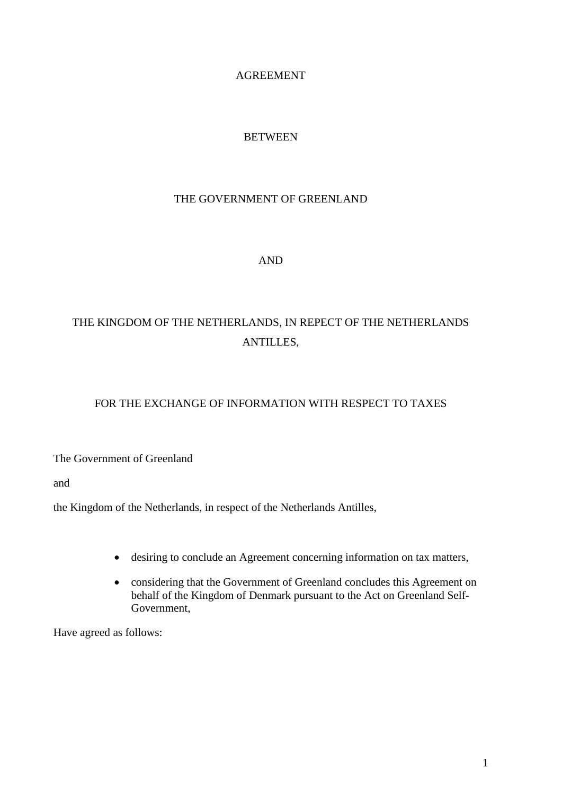## AGREEMENT

## BETWEEN

## THE GOVERNMENT OF GREENLAND

## AND

## THE KINGDOM OF THE NETHERLANDS, IN REPECT OF THE NETHERLANDS ANTILLES,

## FOR THE EXCHANGE OF INFORMATION WITH RESPECT TO TAXES

The Government of Greenland

and

the Kingdom of the Netherlands, in respect of the Netherlands Antilles,

- desiring to conclude an Agreement concerning information on tax matters,
- considering that the Government of Greenland concludes this Agreement on behalf of the Kingdom of Denmark pursuant to the Act on Greenland Self-Government,

Have agreed as follows: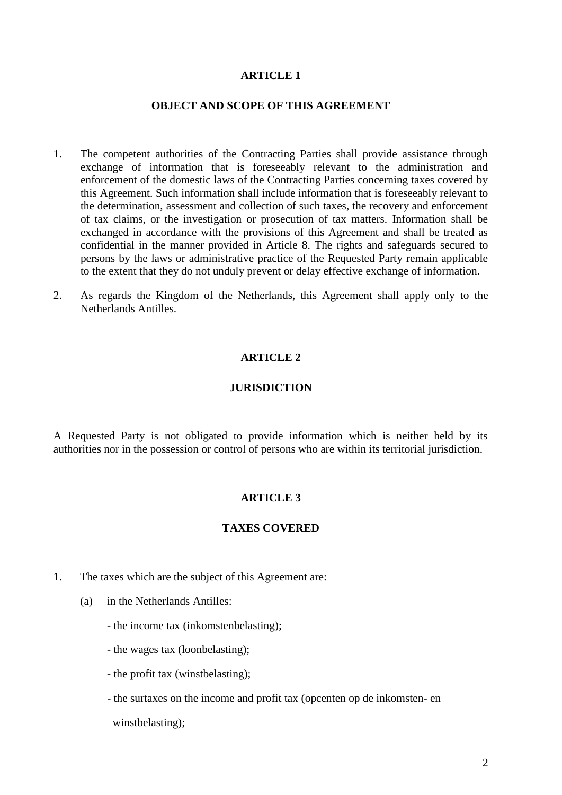#### **OBJECT AND SCOPE OF THIS AGREEMENT**

- 1. The competent authorities of the Contracting Parties shall provide assistance through exchange of information that is foreseeably relevant to the administration and enforcement of the domestic laws of the Contracting Parties concerning taxes covered by this Agreement. Such information shall include information that is foreseeably relevant to the determination, assessment and collection of such taxes, the recovery and enforcement of tax claims, or the investigation or prosecution of tax matters. Information shall be exchanged in accordance with the provisions of this Agreement and shall be treated as confidential in the manner provided in Article 8. The rights and safeguards secured to persons by the laws or administrative practice of the Requested Party remain applicable to the extent that they do not unduly prevent or delay effective exchange of information.
- 2. As regards the Kingdom of the Netherlands, this Agreement shall apply only to the Netherlands Antilles.

#### **ARTICLE 2**

#### **JURISDICTION**

A Requested Party is not obligated to provide information which is neither held by its authorities nor in the possession or control of persons who are within its territorial jurisdiction.

#### **ARTICLE 3**

#### **TAXES COVERED**

- 1. The taxes which are the subject of this Agreement are:
	- (a) in the Netherlands Antilles:
		- the income tax (inkomstenbelasting);
		- the wages tax (loonbelasting);
		- the profit tax (winstbelasting);
		- the surtaxes on the income and profit tax (opcenten op de inkomsten- en winstbelasting);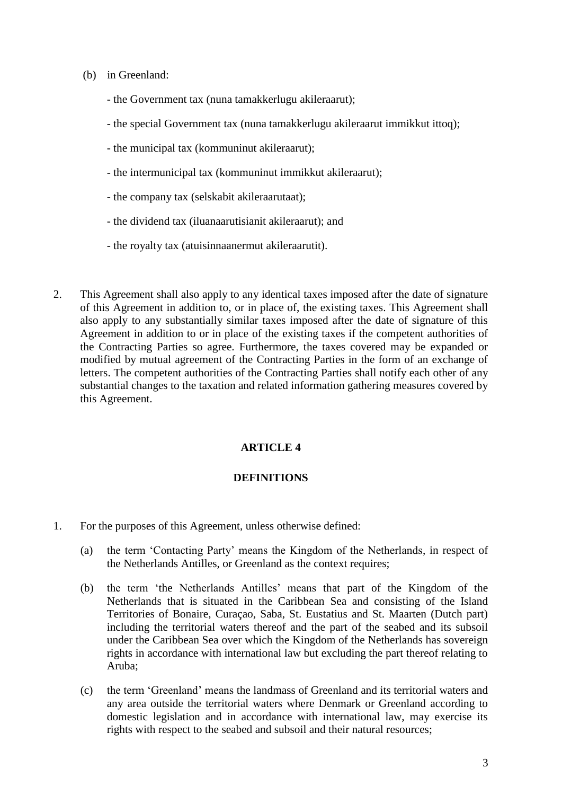- (b) in Greenland:
	- the Government tax (nuna tamakkerlugu akileraarut);
	- the special Government tax (nuna tamakkerlugu akileraarut immikkut ittoq);
	- the municipal tax (kommuninut akileraarut);
	- the intermunicipal tax (kommuninut immikkut akileraarut);
	- the company tax (selskabit akileraarutaat);
	- the dividend tax (iluanaarutisianit akileraarut); and
	- the royalty tax (atuisinnaanermut akileraarutit).
- 2. This Agreement shall also apply to any identical taxes imposed after the date of signature of this Agreement in addition to, or in place of, the existing taxes. This Agreement shall also apply to any substantially similar taxes imposed after the date of signature of this Agreement in addition to or in place of the existing taxes if the competent authorities of the Contracting Parties so agree. Furthermore, the taxes covered may be expanded or modified by mutual agreement of the Contracting Parties in the form of an exchange of letters. The competent authorities of the Contracting Parties shall notify each other of any substantial changes to the taxation and related information gathering measures covered by this Agreement.

#### **DEFINITIONS**

- 1. For the purposes of this Agreement, unless otherwise defined:
	- (a) the term 'Contacting Party' means the Kingdom of the Netherlands, in respect of the Netherlands Antilles, or Greenland as the context requires;
	- (b) the term 'the Netherlands Antilles' means that part of the Kingdom of the Netherlands that is situated in the Caribbean Sea and consisting of the Island Territories of Bonaire, Curaçao, Saba, St. Eustatius and St. Maarten (Dutch part) including the territorial waters thereof and the part of the seabed and its subsoil under the Caribbean Sea over which the Kingdom of the Netherlands has sovereign rights in accordance with international law but excluding the part thereof relating to Aruba;
	- (c) the term 'Greenland' means the landmass of Greenland and its territorial waters and any area outside the territorial waters where Denmark or Greenland according to domestic legislation and in accordance with international law, may exercise its rights with respect to the seabed and subsoil and their natural resources;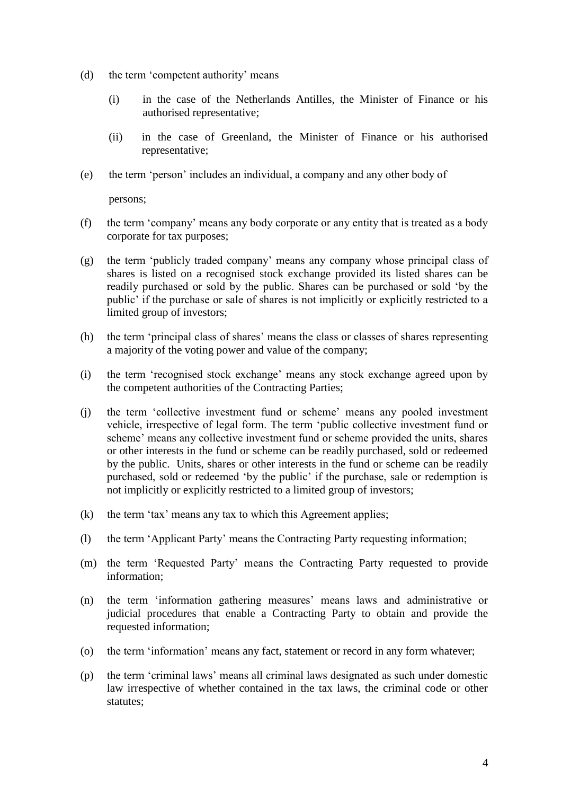- (d) the term 'competent authority' means
	- (i) in the case of the Netherlands Antilles, the Minister of Finance or his authorised representative;
	- (ii) in the case of Greenland, the Minister of Finance or his authorised representative;
- (e) the term 'person' includes an individual, a company and any other body of

persons;

- (f) the term 'company' means any body corporate or any entity that is treated as a body corporate for tax purposes;
- (g) the term 'publicly traded company' means any company whose principal class of shares is listed on a recognised stock exchange provided its listed shares can be readily purchased or sold by the public. Shares can be purchased or sold 'by the public' if the purchase or sale of shares is not implicitly or explicitly restricted to a limited group of investors;
- (h) the term 'principal class of shares' means the class or classes of shares representing a majority of the voting power and value of the company;
- (i) the term 'recognised stock exchange' means any stock exchange agreed upon by the competent authorities of the Contracting Parties;
- (j) the term 'collective investment fund or scheme' means any pooled investment vehicle, irrespective of legal form. The term 'public collective investment fund or scheme' means any collective investment fund or scheme provided the units, shares or other interests in the fund or scheme can be readily purchased, sold or redeemed by the public. Units, shares or other interests in the fund or scheme can be readily purchased, sold or redeemed 'by the public' if the purchase, sale or redemption is not implicitly or explicitly restricted to a limited group of investors;
- (k) the term 'tax' means any tax to which this Agreement applies;
- (l) the term 'Applicant Party' means the Contracting Party requesting information;
- (m) the term 'Requested Party' means the Contracting Party requested to provide information;
- (n) the term 'information gathering measures' means laws and administrative or judicial procedures that enable a Contracting Party to obtain and provide the requested information;
- (o) the term 'information' means any fact, statement or record in any form whatever;
- (p) the term 'criminal laws' means all criminal laws designated as such under domestic law irrespective of whether contained in the tax laws, the criminal code or other statutes;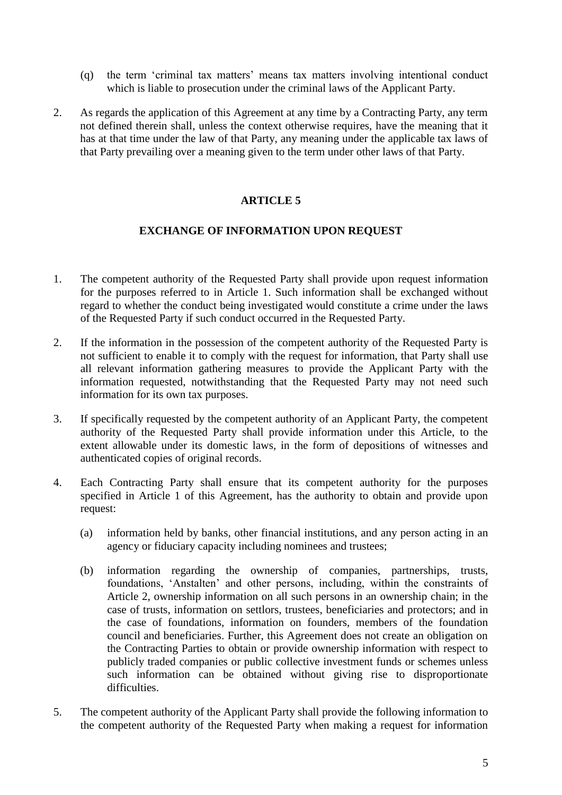- (q) the term 'criminal tax matters' means tax matters involving intentional conduct which is liable to prosecution under the criminal laws of the Applicant Party.
- 2. As regards the application of this Agreement at any time by a Contracting Party, any term not defined therein shall, unless the context otherwise requires, have the meaning that it has at that time under the law of that Party, any meaning under the applicable tax laws of that Party prevailing over a meaning given to the term under other laws of that Party.

## **EXCHANGE OF INFORMATION UPON REQUEST**

- 1. The competent authority of the Requested Party shall provide upon request information for the purposes referred to in Article 1. Such information shall be exchanged without regard to whether the conduct being investigated would constitute a crime under the laws of the Requested Party if such conduct occurred in the Requested Party.
- 2. If the information in the possession of the competent authority of the Requested Party is not sufficient to enable it to comply with the request for information, that Party shall use all relevant information gathering measures to provide the Applicant Party with the information requested, notwithstanding that the Requested Party may not need such information for its own tax purposes.
- 3. If specifically requested by the competent authority of an Applicant Party, the competent authority of the Requested Party shall provide information under this Article, to the extent allowable under its domestic laws, in the form of depositions of witnesses and authenticated copies of original records.
- 4. Each Contracting Party shall ensure that its competent authority for the purposes specified in Article 1 of this Agreement, has the authority to obtain and provide upon request:
	- (a) information held by banks, other financial institutions, and any person acting in an agency or fiduciary capacity including nominees and trustees;
	- (b) information regarding the ownership of companies, partnerships, trusts, foundations, 'Anstalten' and other persons, including, within the constraints of Article 2, ownership information on all such persons in an ownership chain; in the case of trusts, information on settlors, trustees, beneficiaries and protectors; and in the case of foundations, information on founders, members of the foundation council and beneficiaries. Further, this Agreement does not create an obligation on the Contracting Parties to obtain or provide ownership information with respect to publicly traded companies or public collective investment funds or schemes unless such information can be obtained without giving rise to disproportionate difficulties.
- 5. The competent authority of the Applicant Party shall provide the following information to the competent authority of the Requested Party when making a request for information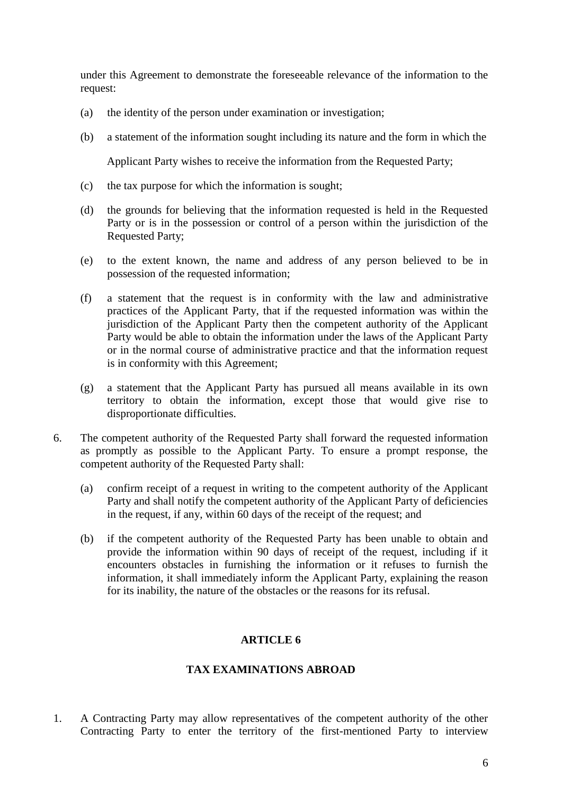under this Agreement to demonstrate the foreseeable relevance of the information to the request:

- (a) the identity of the person under examination or investigation;
- (b) a statement of the information sought including its nature and the form in which the

Applicant Party wishes to receive the information from the Requested Party;

- (c) the tax purpose for which the information is sought;
- (d) the grounds for believing that the information requested is held in the Requested Party or is in the possession or control of a person within the jurisdiction of the Requested Party;
- (e) to the extent known, the name and address of any person believed to be in possession of the requested information;
- (f) a statement that the request is in conformity with the law and administrative practices of the Applicant Party, that if the requested information was within the jurisdiction of the Applicant Party then the competent authority of the Applicant Party would be able to obtain the information under the laws of the Applicant Party or in the normal course of administrative practice and that the information request is in conformity with this Agreement;
- (g) a statement that the Applicant Party has pursued all means available in its own territory to obtain the information, except those that would give rise to disproportionate difficulties.
- 6. The competent authority of the Requested Party shall forward the requested information as promptly as possible to the Applicant Party. To ensure a prompt response, the competent authority of the Requested Party shall:
	- (a) confirm receipt of a request in writing to the competent authority of the Applicant Party and shall notify the competent authority of the Applicant Party of deficiencies in the request, if any, within 60 days of the receipt of the request; and
	- (b) if the competent authority of the Requested Party has been unable to obtain and provide the information within 90 days of receipt of the request, including if it encounters obstacles in furnishing the information or it refuses to furnish the information, it shall immediately inform the Applicant Party, explaining the reason for its inability, the nature of the obstacles or the reasons for its refusal.

## **ARTICLE 6**

#### **TAX EXAMINATIONS ABROAD**

1. A Contracting Party may allow representatives of the competent authority of the other Contracting Party to enter the territory of the first-mentioned Party to interview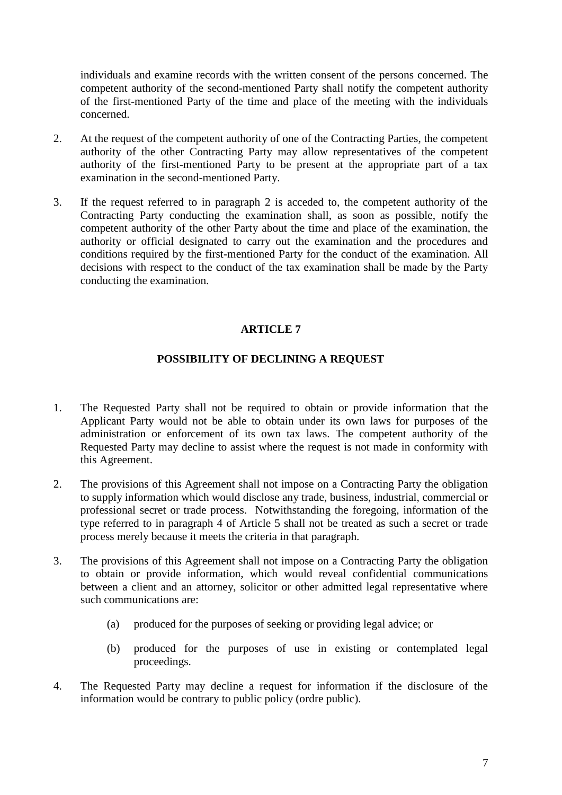individuals and examine records with the written consent of the persons concerned. The competent authority of the second-mentioned Party shall notify the competent authority of the first-mentioned Party of the time and place of the meeting with the individuals concerned.

- 2. At the request of the competent authority of one of the Contracting Parties, the competent authority of the other Contracting Party may allow representatives of the competent authority of the first-mentioned Party to be present at the appropriate part of a tax examination in the second-mentioned Party.
- 3. If the request referred to in paragraph 2 is acceded to, the competent authority of the Contracting Party conducting the examination shall, as soon as possible, notify the competent authority of the other Party about the time and place of the examination, the authority or official designated to carry out the examination and the procedures and conditions required by the first-mentioned Party for the conduct of the examination. All decisions with respect to the conduct of the tax examination shall be made by the Party conducting the examination.

## **ARTICLE 7**

## **POSSIBILITY OF DECLINING A REQUEST**

- 1. The Requested Party shall not be required to obtain or provide information that the Applicant Party would not be able to obtain under its own laws for purposes of the administration or enforcement of its own tax laws. The competent authority of the Requested Party may decline to assist where the request is not made in conformity with this Agreement.
- 2. The provisions of this Agreement shall not impose on a Contracting Party the obligation to supply information which would disclose any trade, business, industrial, commercial or professional secret or trade process. Notwithstanding the foregoing, information of the type referred to in paragraph 4 of Article 5 shall not be treated as such a secret or trade process merely because it meets the criteria in that paragraph.
- 3. The provisions of this Agreement shall not impose on a Contracting Party the obligation to obtain or provide information, which would reveal confidential communications between a client and an attorney, solicitor or other admitted legal representative where such communications are:
	- (a) produced for the purposes of seeking or providing legal advice; or
	- (b) produced for the purposes of use in existing or contemplated legal proceedings.
- 4. The Requested Party may decline a request for information if the disclosure of the information would be contrary to public policy (ordre public).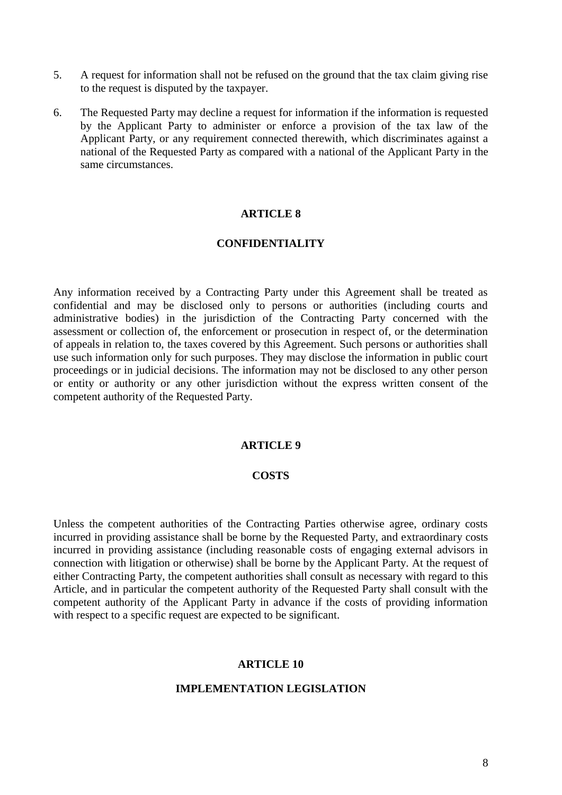- 5. A request for information shall not be refused on the ground that the tax claim giving rise to the request is disputed by the taxpayer.
- 6. The Requested Party may decline a request for information if the information is requested by the Applicant Party to administer or enforce a provision of the tax law of the Applicant Party, or any requirement connected therewith, which discriminates against a national of the Requested Party as compared with a national of the Applicant Party in the same circumstances.

#### **CONFIDENTIALITY**

Any information received by a Contracting Party under this Agreement shall be treated as confidential and may be disclosed only to persons or authorities (including courts and administrative bodies) in the jurisdiction of the Contracting Party concerned with the assessment or collection of, the enforcement or prosecution in respect of, or the determination of appeals in relation to, the taxes covered by this Agreement. Such persons or authorities shall use such information only for such purposes. They may disclose the information in public court proceedings or in judicial decisions. The information may not be disclosed to any other person or entity or authority or any other jurisdiction without the express written consent of the competent authority of the Requested Party.

## **ARTICLE 9**

#### **COSTS**

Unless the competent authorities of the Contracting Parties otherwise agree, ordinary costs incurred in providing assistance shall be borne by the Requested Party, and extraordinary costs incurred in providing assistance (including reasonable costs of engaging external advisors in connection with litigation or otherwise) shall be borne by the Applicant Party. At the request of either Contracting Party, the competent authorities shall consult as necessary with regard to this Article, and in particular the competent authority of the Requested Party shall consult with the competent authority of the Applicant Party in advance if the costs of providing information with respect to a specific request are expected to be significant.

#### **ARTICLE 10**

## **IMPLEMENTATION LEGISLATION**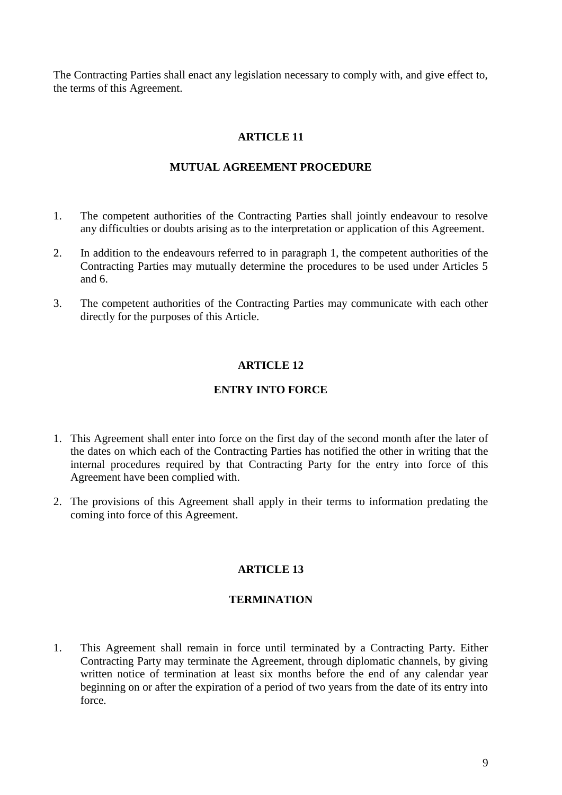The Contracting Parties shall enact any legislation necessary to comply with, and give effect to, the terms of this Agreement.

## **ARTICLE 11**

#### **MUTUAL AGREEMENT PROCEDURE**

- 1. The competent authorities of the Contracting Parties shall jointly endeavour to resolve any difficulties or doubts arising as to the interpretation or application of this Agreement.
- 2. In addition to the endeavours referred to in paragraph 1, the competent authorities of the Contracting Parties may mutually determine the procedures to be used under Articles 5 and 6.
- 3. The competent authorities of the Contracting Parties may communicate with each other directly for the purposes of this Article.

## **ARTICLE 12**

#### **ENTRY INTO FORCE**

- 1. This Agreement shall enter into force on the first day of the second month after the later of the dates on which each of the Contracting Parties has notified the other in writing that the internal procedures required by that Contracting Party for the entry into force of this Agreement have been complied with.
- 2. The provisions of this Agreement shall apply in their terms to information predating the coming into force of this Agreement.

#### **ARTICLE 13**

#### **TERMINATION**

1. This Agreement shall remain in force until terminated by a Contracting Party. Either Contracting Party may terminate the Agreement, through diplomatic channels, by giving written notice of termination at least six months before the end of any calendar year beginning on or after the expiration of a period of two years from the date of its entry into force.